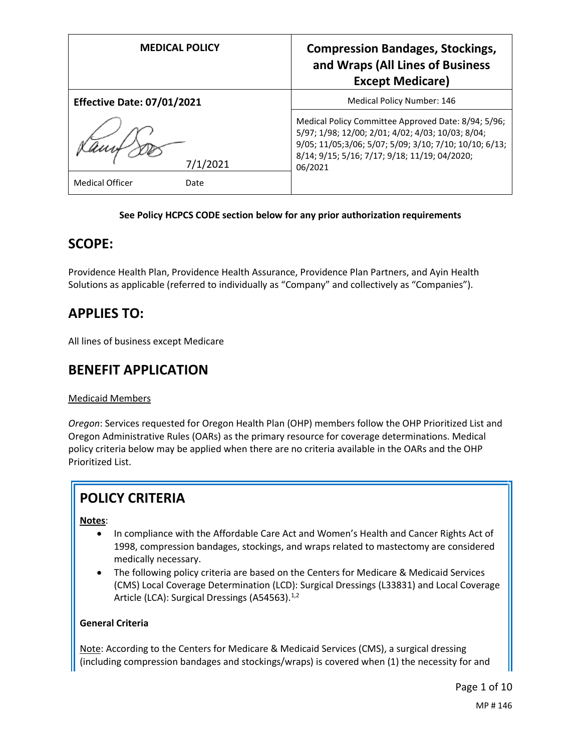| <b>MEDICAL POLICY</b>             | <b>Compression Bandages, Stockings,</b><br>and Wraps (All Lines of Business<br><b>Except Medicare)</b>                                                                                                                         |
|-----------------------------------|--------------------------------------------------------------------------------------------------------------------------------------------------------------------------------------------------------------------------------|
| <b>Effective Date: 07/01/2021</b> | <b>Medical Policy Number: 146</b>                                                                                                                                                                                              |
| 7/1/2021                          | Medical Policy Committee Approved Date: 8/94; 5/96;<br>5/97; 1/98; 12/00; 2/01; 4/02; 4/03; 10/03; 8/04;<br>9/05; 11/05;3/06; 5/07; 5/09; 3/10; 7/10; 10/10; 6/13;<br>8/14; 9/15; 5/16; 7/17; 9/18; 11/19; 04/2020;<br>06/2021 |
| <b>Medical Officer</b><br>Date    |                                                                                                                                                                                                                                |

### **See Policy HCPCS CODE section below for any prior authorization requirements**

## **SCOPE:**

Providence Health Plan, Providence Health Assurance, Providence Plan Partners, and Ayin Health Solutions as applicable (referred to individually as "Company" and collectively as "Companies").

## **APPLIES TO:**

All lines of business except Medicare

## **BENEFIT APPLICATION**

### Medicaid Members

*Oregon*: Services requested for Oregon Health Plan (OHP) members follow the OHP Prioritized List and Oregon Administrative Rules (OARs) as the primary resource for coverage determinations. Medical policy criteria below may be applied when there are no criteria available in the OARs and the OHP Prioritized List.

# **POLICY CRITERIA**

### **Notes**:

- In compliance with the Affordable Care Act and Women's Health and Cancer Rights Act of 1998, compression bandages, stockings, and wraps related to mastectomy are considered medically necessary.
- The following policy criteria are based on the Centers for Medicare & Medicaid Services (CMS) Local Coverage Determination (LCD): Surgical Dressings (L33831) and Local Coverage Article (LCA): Surgical Dressings (A54563).<sup>1,2</sup>

### **General Criteria**

Note: According to the Centers for Medicare & Medicaid Services (CMS), a surgical dressing (including compression bandages and stockings/wraps) is covered when (1) the necessity for and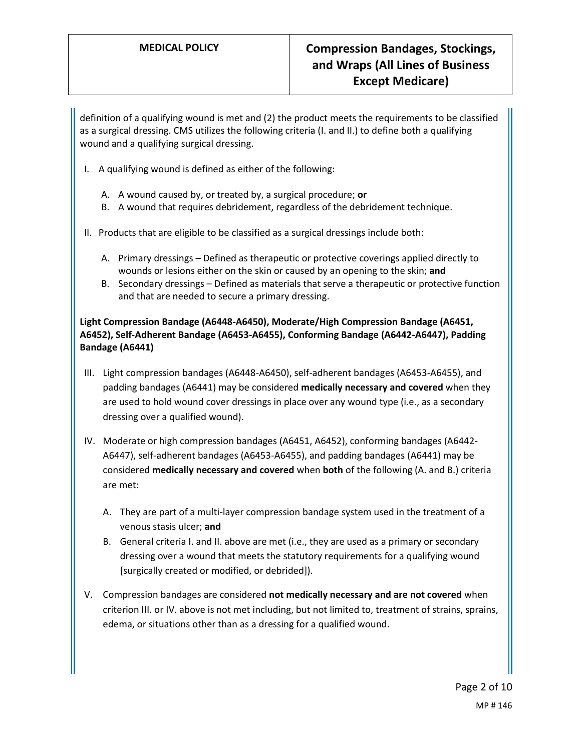definition of a qualifying wound is met and (2) the product meets the requirements to be classified as a surgical dressing. CMS utilizes the following criteria (I. and II.) to define both a qualifying wound and a qualifying surgical dressing.

- I. A qualifying wound is defined as either of the following:
	- A. A wound caused by, or treated by, a surgical procedure; **or**
	- B. A wound that requires debridement, regardless of the debridement technique.
- II. Products that are eligible to be classified as a surgical dressings include both:
	- A. Primary dressings Defined as therapeutic or protective coverings applied directly to wounds or lesions either on the skin or caused by an opening to the skin; **and**
	- B. Secondary dressings Defined as materials that serve a therapeutic or protective function and that are needed to secure a primary dressing.

### **Light Compression Bandage (A6448-A6450), Moderate/High Compression Bandage (A6451, A6452), Self-Adherent Bandage (A6453-A6455), Conforming Bandage (A6442-A6447), Padding Bandage (A6441)**

- III. Light compression bandages (A6448-A6450), self-adherent bandages (A6453-A6455), and padding bandages (A6441) may be considered **medically necessary and covered** when they are used to hold wound cover dressings in place over any wound type (i.e., as a secondary dressing over a qualified wound).
- IV. Moderate or high compression bandages (A6451, A6452), conforming bandages (A6442- A6447), self-adherent bandages (A6453-A6455), and padding bandages (A6441) may be considered **medically necessary and covered** when **both** of the following (A. and B.) criteria are met:
	- A. They are part of a multi-layer compression bandage system used in the treatment of a venous stasis ulcer; **and**
	- B. General criteria I. and II. above are met (i.e., they are used as a primary or secondary dressing over a wound that meets the statutory requirements for a qualifying wound [surgically created or modified, or debrided]).
- V. Compression bandages are considered **not medically necessary and are not covered** when criterion III. or IV. above is not met including, but not limited to, treatment of strains, sprains, edema, or situations other than as a dressing for a qualified wound.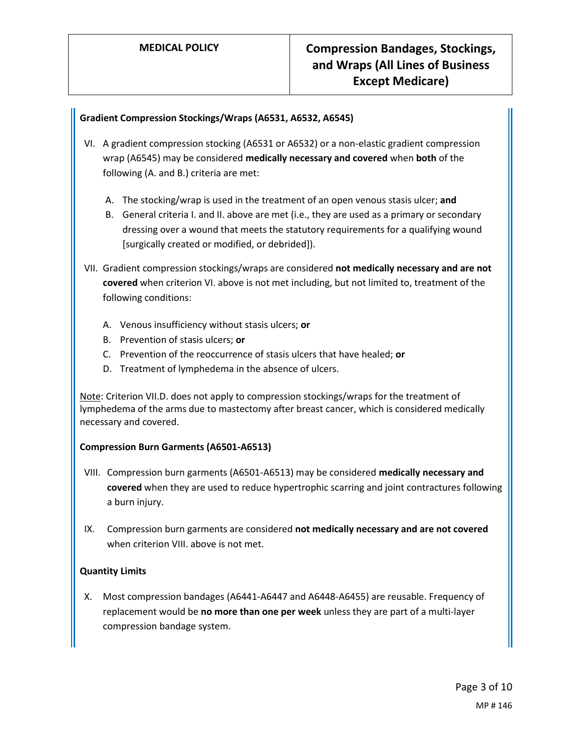### **Gradient Compression Stockings/Wraps (A6531, A6532, A6545)**

- VI. A gradient compression stocking (A6531 or A6532) or a non-elastic gradient compression wrap (A6545) may be considered **medically necessary and covered** when **both** of the following (A. and B.) criteria are met:
	- A. The stocking/wrap is used in the treatment of an open venous stasis ulcer; **and**
	- B. General criteria I. and II. above are met (i.e., they are used as a primary or secondary dressing over a wound that meets the statutory requirements for a qualifying wound [surgically created or modified, or debrided]).
- VII. Gradient compression stockings/wraps are considered **not medically necessary and are not covered** when criterion VI. above is not met including, but not limited to, treatment of the following conditions:
	- A. Venous insufficiency without stasis ulcers; **or**
	- B. Prevention of stasis ulcers; **or**
	- C. Prevention of the reoccurrence of stasis ulcers that have healed; **or**
	- D. Treatment of lymphedema in the absence of ulcers.

Note: Criterion VII.D. does not apply to compression stockings/wraps for the treatment of lymphedema of the arms due to mastectomy after breast cancer, which is considered medically necessary and covered.

### **Compression Burn Garments (A6501-A6513)**

- VIII. Compression burn garments (A6501-A6513) may be considered **medically necessary and covered** when they are used to reduce hypertrophic scarring and joint contractures following a burn injury.
- IX. Compression burn garments are considered **not medically necessary and are not covered** when criterion VIII. above is not met.

### **Quantity Limits**

X. Most compression bandages (A6441-A6447 and A6448-A6455) are reusable. Frequency of replacement would be **no more than one per week** unless they are part of a multi-layer compression bandage system.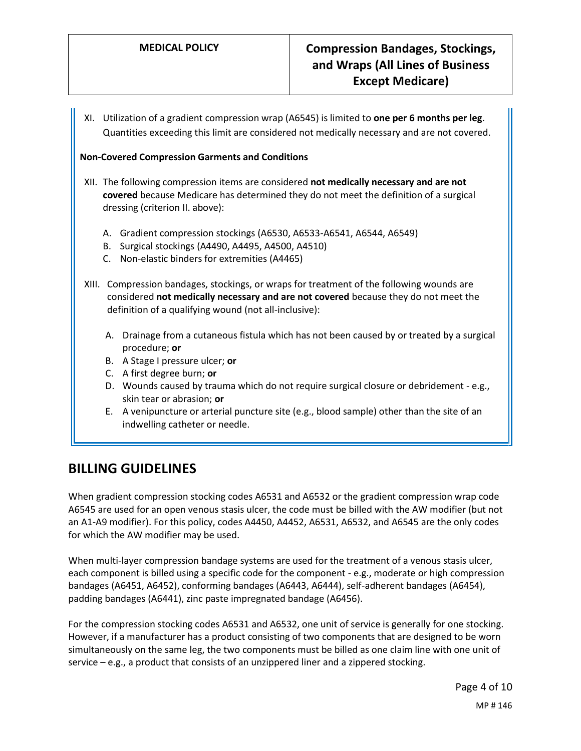XI. Utilization of a gradient compression wrap (A6545) is limited to **one per 6 months per leg**. Quantities exceeding this limit are considered not medically necessary and are not covered.

### **Non-Covered Compression Garments and Conditions**

- XII. The following compression items are considered **not medically necessary and are not covered** because Medicare has determined they do not meet the definition of a surgical dressing (criterion II. above):
	- A. Gradient compression stockings (A6530, A6533-A6541, A6544, A6549)
	- B. Surgical stockings (A4490, A4495, A4500, A4510)
	- C. Non-elastic binders for extremities (A4465)
- XIII. Compression bandages, stockings, or wraps for treatment of the following wounds are considered **not medically necessary and are not covered** because they do not meet the definition of a qualifying wound (not all-inclusive):
	- A. Drainage from a cutaneous fistula which has not been caused by or treated by a surgical procedure; **or**
	- B. A Stage I pressure ulcer; **or**
	- C. A first degree burn; **or**
	- D. Wounds caused by trauma which do not require surgical closure or debridement e.g., skin tear or abrasion; **or**
	- E. A venipuncture or arterial puncture site (e.g., blood sample) other than the site of an indwelling catheter or needle.

## **BILLING GUIDELINES**

When gradient compression stocking codes A6531 and A6532 or the gradient compression wrap code A6545 are used for an open venous stasis ulcer, the code must be billed with the AW modifier (but not an A1-A9 modifier). For this policy, codes A4450, A4452, A6531, A6532, and A6545 are the only codes for which the AW modifier may be used.

When multi-layer compression bandage systems are used for the treatment of a venous stasis ulcer, each component is billed using a specific code for the component - e.g., moderate or high compression bandages (A6451, A6452), conforming bandages (A6443, A6444), self-adherent bandages (A6454), padding bandages (A6441), zinc paste impregnated bandage (A6456).

For the compression stocking codes A6531 and A6532, one unit of service is generally for one stocking. However, if a manufacturer has a product consisting of two components that are designed to be worn simultaneously on the same leg, the two components must be billed as one claim line with one unit of service – e.g., a product that consists of an unzippered liner and a zippered stocking.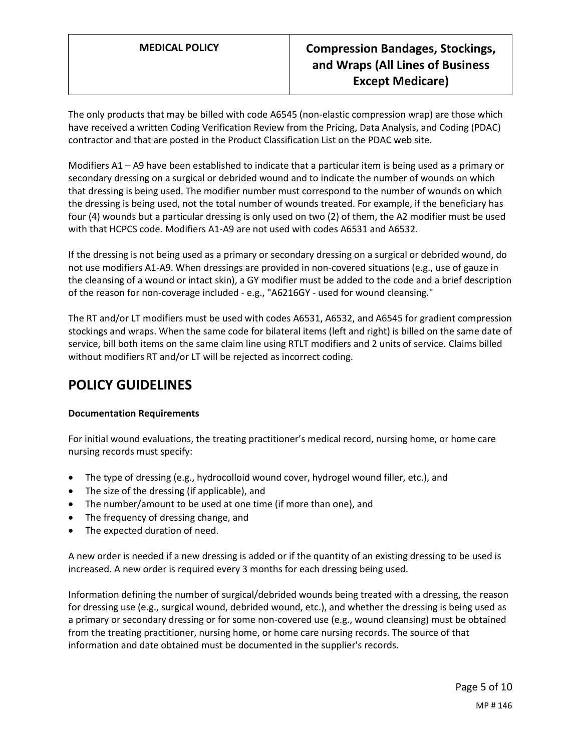The only products that may be billed with code A6545 (non-elastic compression wrap) are those which have received a written Coding Verification Review from the Pricing, Data Analysis, and Coding (PDAC) contractor and that are posted in the Product Classification List on the PDAC web site.

Modifiers A1 – A9 have been established to indicate that a particular item is being used as a primary or secondary dressing on a surgical or debrided wound and to indicate the number of wounds on which that dressing is being used. The modifier number must correspond to the number of wounds on which the dressing is being used, not the total number of wounds treated. For example, if the beneficiary has four (4) wounds but a particular dressing is only used on two (2) of them, the A2 modifier must be used with that HCPCS code. Modifiers A1-A9 are not used with codes A6531 and A6532.

If the dressing is not being used as a primary or secondary dressing on a surgical or debrided wound, do not use modifiers A1-A9. When dressings are provided in non-covered situations (e.g., use of gauze in the cleansing of a wound or intact skin), a GY modifier must be added to the code and a brief description of the reason for non-coverage included - e.g., "A6216GY - used for wound cleansing."

The RT and/or LT modifiers must be used with codes A6531, A6532, and A6545 for gradient compression stockings and wraps. When the same code for bilateral items (left and right) is billed on the same date of service, bill both items on the same claim line using RTLT modifiers and 2 units of service. Claims billed without modifiers RT and/or LT will be rejected as incorrect coding.

## **POLICY GUIDELINES**

### **Documentation Requirements**

For initial wound evaluations, the treating practitioner's medical record, nursing home, or home care nursing records must specify:

- The type of dressing (e.g., hydrocolloid wound cover, hydrogel wound filler, etc.), and
- The size of the dressing (if applicable), and
- The number/amount to be used at one time (if more than one), and
- The frequency of dressing change, and
- The expected duration of need.

A new order is needed if a new dressing is added or if the quantity of an existing dressing to be used is increased. A new order is required every 3 months for each dressing being used.

Information defining the number of surgical/debrided wounds being treated with a dressing, the reason for dressing use (e.g., surgical wound, debrided wound, etc.), and whether the dressing is being used as a primary or secondary dressing or for some non-covered use (e.g., wound cleansing) must be obtained from the treating practitioner, nursing home, or home care nursing records. The source of that information and date obtained must be documented in the supplier's records.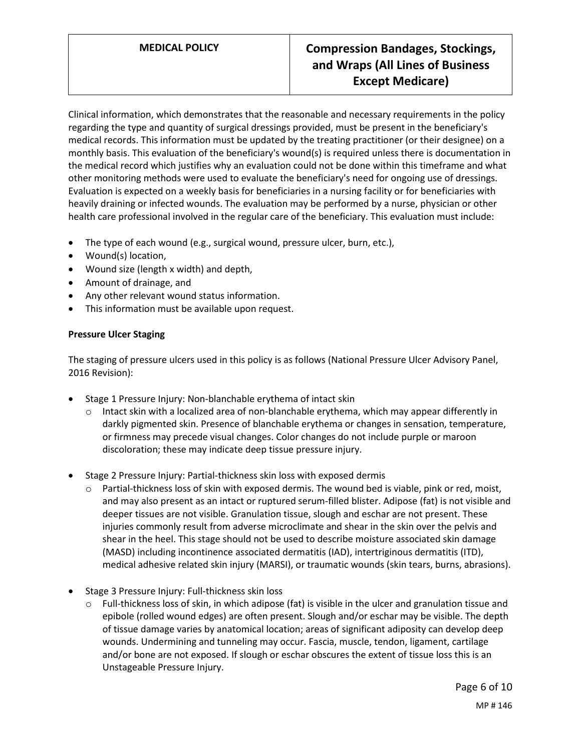Clinical information, which demonstrates that the reasonable and necessary requirements in the policy regarding the type and quantity of surgical dressings provided, must be present in the beneficiary's medical records. This information must be updated by the treating practitioner (or their designee) on a monthly basis. This evaluation of the beneficiary's wound(s) is required unless there is documentation in the medical record which justifies why an evaluation could not be done within this timeframe and what other monitoring methods were used to evaluate the beneficiary's need for ongoing use of dressings. Evaluation is expected on a weekly basis for beneficiaries in a nursing facility or for beneficiaries with heavily draining or infected wounds. The evaluation may be performed by a nurse, physician or other health care professional involved in the regular care of the beneficiary. This evaluation must include:

- The type of each wound (e.g., surgical wound, pressure ulcer, burn, etc.),
- Wound(s) location,
- Wound size (length x width) and depth,
- Amount of drainage, and
- Any other relevant wound status information.
- This information must be available upon request.

### **Pressure Ulcer Staging**

The staging of pressure ulcers used in this policy is as follows (National Pressure Ulcer Advisory Panel, 2016 Revision):

- Stage 1 Pressure Injury: Non-blanchable erythema of intact skin
	- $\circ$  Intact skin with a localized area of non-blanchable erythema, which may appear differently in darkly pigmented skin. Presence of blanchable erythema or changes in sensation, temperature, or firmness may precede visual changes. Color changes do not include purple or maroon discoloration; these may indicate deep tissue pressure injury.
- Stage 2 Pressure Injury: Partial-thickness skin loss with exposed dermis
	- $\circ$  Partial-thickness loss of skin with exposed dermis. The wound bed is viable, pink or red, moist, and may also present as an intact or ruptured serum-filled blister. Adipose (fat) is not visible and deeper tissues are not visible. Granulation tissue, slough and eschar are not present. These injuries commonly result from adverse microclimate and shear in the skin over the pelvis and shear in the heel. This stage should not be used to describe moisture associated skin damage (MASD) including incontinence associated dermatitis (IAD), intertriginous dermatitis (ITD), medical adhesive related skin injury (MARSI), or traumatic wounds (skin tears, burns, abrasions).
- Stage 3 Pressure Injury: Full-thickness skin loss
	- $\circ$  Full-thickness loss of skin, in which adipose (fat) is visible in the ulcer and granulation tissue and epibole (rolled wound edges) are often present. Slough and/or eschar may be visible. The depth of tissue damage varies by anatomical location; areas of significant adiposity can develop deep wounds. Undermining and tunneling may occur. Fascia, muscle, tendon, ligament, cartilage and/or bone are not exposed. If slough or eschar obscures the extent of tissue loss this is an Unstageable Pressure Injury.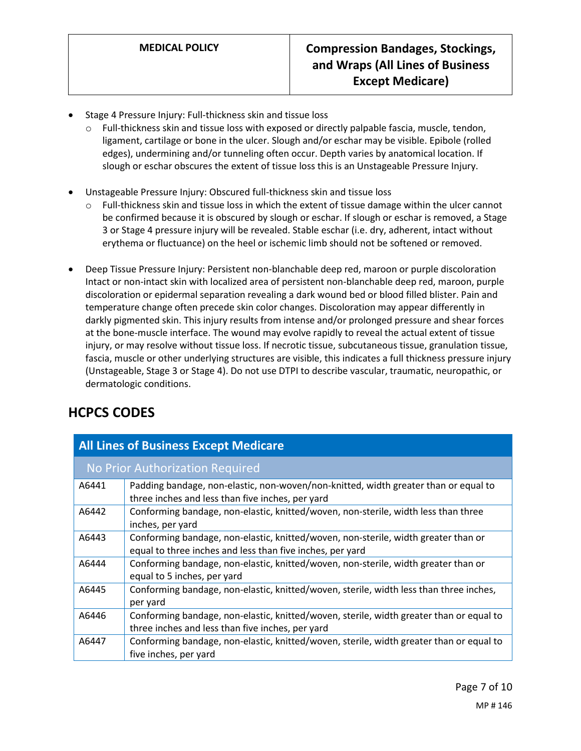- Stage 4 Pressure Injury: Full-thickness skin and tissue loss
	- o Full-thickness skin and tissue loss with exposed or directly palpable fascia, muscle, tendon, ligament, cartilage or bone in the ulcer. Slough and/or eschar may be visible. Epibole (rolled edges), undermining and/or tunneling often occur. Depth varies by anatomical location. If slough or eschar obscures the extent of tissue loss this is an Unstageable Pressure Injury.
- Unstageable Pressure Injury: Obscured full-thickness skin and tissue loss
	- $\circ$  Full-thickness skin and tissue loss in which the extent of tissue damage within the ulcer cannot be confirmed because it is obscured by slough or eschar. If slough or eschar is removed, a Stage 3 or Stage 4 pressure injury will be revealed. Stable eschar (i.e. dry, adherent, intact without erythema or fluctuance) on the heel or ischemic limb should not be softened or removed.
- Deep Tissue Pressure Injury: Persistent non-blanchable deep red, maroon or purple discoloration Intact or non-intact skin with localized area of persistent non-blanchable deep red, maroon, purple discoloration or epidermal separation revealing a dark wound bed or blood filled blister. Pain and temperature change often precede skin color changes. Discoloration may appear differently in darkly pigmented skin. This injury results from intense and/or prolonged pressure and shear forces at the bone-muscle interface. The wound may evolve rapidly to reveal the actual extent of tissue injury, or may resolve without tissue loss. If necrotic tissue, subcutaneous tissue, granulation tissue, fascia, muscle or other underlying structures are visible, this indicates a full thickness pressure injury (Unstageable, Stage 3 or Stage 4). Do not use DTPI to describe vascular, traumatic, neuropathic, or dermatologic conditions.

## **HCPCS CODES**

| <b>All Lines of Business Except Medicare</b> |                                                                                                                                                 |  |
|----------------------------------------------|-------------------------------------------------------------------------------------------------------------------------------------------------|--|
| No Prior Authorization Required              |                                                                                                                                                 |  |
| A6441                                        | Padding bandage, non-elastic, non-woven/non-knitted, width greater than or equal to<br>three inches and less than five inches, per yard         |  |
| A6442                                        | Conforming bandage, non-elastic, knitted/woven, non-sterile, width less than three<br>inches, per yard                                          |  |
| A6443                                        | Conforming bandage, non-elastic, knitted/woven, non-sterile, width greater than or<br>equal to three inches and less than five inches, per yard |  |
| A6444                                        | Conforming bandage, non-elastic, knitted/woven, non-sterile, width greater than or<br>equal to 5 inches, per yard                               |  |
| A6445                                        | Conforming bandage, non-elastic, knitted/woven, sterile, width less than three inches,<br>per yard                                              |  |
| A6446                                        | Conforming bandage, non-elastic, knitted/woven, sterile, width greater than or equal to<br>three inches and less than five inches, per yard     |  |
| A6447                                        | Conforming bandage, non-elastic, knitted/woven, sterile, width greater than or equal to<br>five inches, per yard                                |  |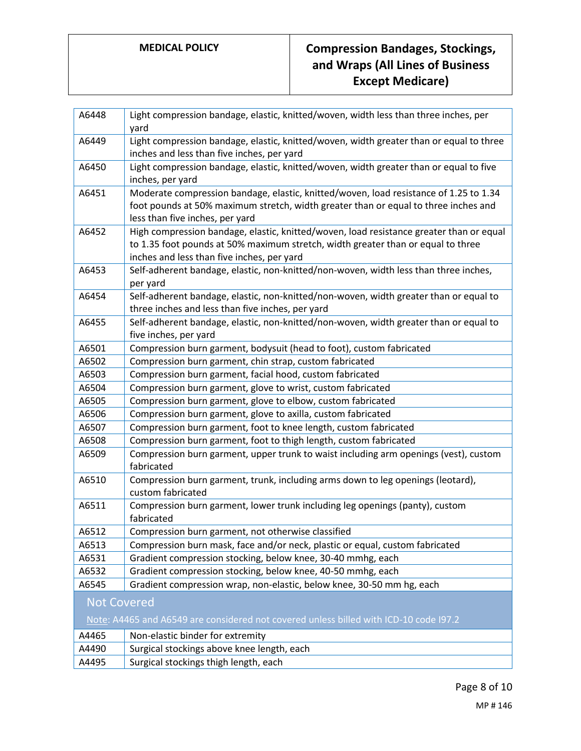| A6448                                                                                 | Light compression bandage, elastic, knitted/woven, width less than three inches, per<br>yard       |  |
|---------------------------------------------------------------------------------------|----------------------------------------------------------------------------------------------------|--|
| A6449                                                                                 | Light compression bandage, elastic, knitted/woven, width greater than or equal to three            |  |
|                                                                                       | inches and less than five inches, per yard                                                         |  |
| A6450                                                                                 | Light compression bandage, elastic, knitted/woven, width greater than or equal to five             |  |
|                                                                                       | inches, per yard                                                                                   |  |
| A6451                                                                                 | Moderate compression bandage, elastic, knitted/woven, load resistance of 1.25 to 1.34              |  |
|                                                                                       | foot pounds at 50% maximum stretch, width greater than or equal to three inches and                |  |
|                                                                                       | less than five inches, per yard                                                                    |  |
| A6452                                                                                 | High compression bandage, elastic, knitted/woven, load resistance greater than or equal            |  |
|                                                                                       | to 1.35 foot pounds at 50% maximum stretch, width greater than or equal to three                   |  |
|                                                                                       | inches and less than five inches, per yard                                                         |  |
| A6453                                                                                 | Self-adherent bandage, elastic, non-knitted/non-woven, width less than three inches,               |  |
|                                                                                       | per yard                                                                                           |  |
| A6454                                                                                 | Self-adherent bandage, elastic, non-knitted/non-woven, width greater than or equal to              |  |
|                                                                                       | three inches and less than five inches, per yard                                                   |  |
| A6455                                                                                 | Self-adherent bandage, elastic, non-knitted/non-woven, width greater than or equal to              |  |
|                                                                                       | five inches, per yard                                                                              |  |
| A6501                                                                                 | Compression burn garment, bodysuit (head to foot), custom fabricated                               |  |
| A6502                                                                                 | Compression burn garment, chin strap, custom fabricated                                            |  |
| A6503                                                                                 | Compression burn garment, facial hood, custom fabricated                                           |  |
| A6504                                                                                 | Compression burn garment, glove to wrist, custom fabricated                                        |  |
| A6505                                                                                 | Compression burn garment, glove to elbow, custom fabricated                                        |  |
| A6506                                                                                 | Compression burn garment, glove to axilla, custom fabricated                                       |  |
| A6507                                                                                 | Compression burn garment, foot to knee length, custom fabricated                                   |  |
| A6508                                                                                 | Compression burn garment, foot to thigh length, custom fabricated                                  |  |
| A6509                                                                                 | Compression burn garment, upper trunk to waist including arm openings (vest), custom<br>fabricated |  |
| A6510                                                                                 | Compression burn garment, trunk, including arms down to leg openings (leotard),                    |  |
|                                                                                       | custom fabricated                                                                                  |  |
| A6511                                                                                 | Compression burn garment, lower trunk including leg openings (panty), custom                       |  |
|                                                                                       | fabricated                                                                                         |  |
| A6512                                                                                 | Compression burn garment, not otherwise classified                                                 |  |
| A6513                                                                                 | Compression burn mask, face and/or neck, plastic or equal, custom fabricated                       |  |
| A6531                                                                                 | Gradient compression stocking, below knee, 30-40 mmhg, each                                        |  |
| A6532                                                                                 | Gradient compression stocking, below knee, 40-50 mmhg, each                                        |  |
| A6545                                                                                 | Gradient compression wrap, non-elastic, below knee, 30-50 mm hg, each                              |  |
| <b>Not Covered</b>                                                                    |                                                                                                    |  |
| Note: A4465 and A6549 are considered not covered unless billed with ICD-10 code I97.2 |                                                                                                    |  |
| A4465                                                                                 | Non-elastic binder for extremity                                                                   |  |
| A4490                                                                                 | Surgical stockings above knee length, each                                                         |  |
| A4495                                                                                 | Surgical stockings thigh length, each                                                              |  |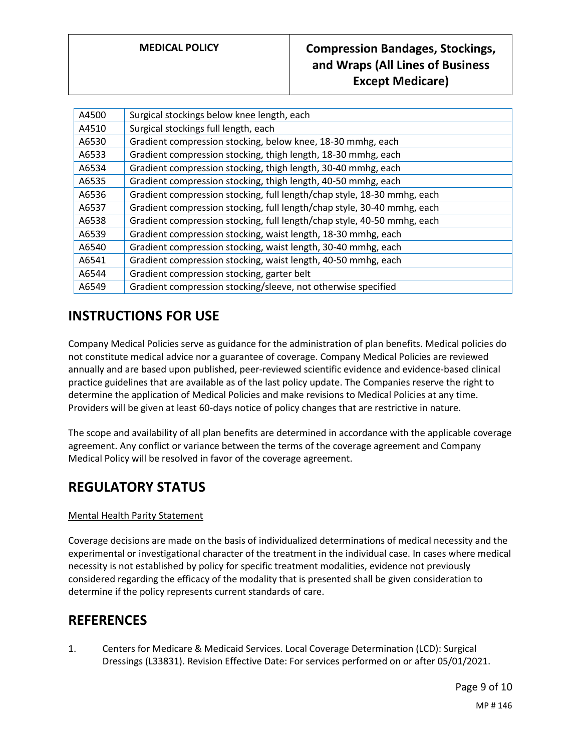| A4500 | Surgical stockings below knee length, each                              |
|-------|-------------------------------------------------------------------------|
| A4510 | Surgical stockings full length, each                                    |
| A6530 | Gradient compression stocking, below knee, 18-30 mmhg, each             |
| A6533 | Gradient compression stocking, thigh length, 18-30 mmhg, each           |
| A6534 | Gradient compression stocking, thigh length, 30-40 mmhg, each           |
| A6535 | Gradient compression stocking, thigh length, 40-50 mmhg, each           |
| A6536 | Gradient compression stocking, full length/chap style, 18-30 mmhg, each |
| A6537 | Gradient compression stocking, full length/chap style, 30-40 mmhg, each |
| A6538 | Gradient compression stocking, full length/chap style, 40-50 mmhg, each |
| A6539 | Gradient compression stocking, waist length, 18-30 mmhg, each           |
| A6540 | Gradient compression stocking, waist length, 30-40 mmhg, each           |
| A6541 | Gradient compression stocking, waist length, 40-50 mmhg, each           |
| A6544 | Gradient compression stocking, garter belt                              |
| A6549 | Gradient compression stocking/sleeve, not otherwise specified           |
|       |                                                                         |

## **INSTRUCTIONS FOR USE**

Company Medical Policies serve as guidance for the administration of plan benefits. Medical policies do not constitute medical advice nor a guarantee of coverage. Company Medical Policies are reviewed annually and are based upon published, peer-reviewed scientific evidence and evidence-based clinical practice guidelines that are available as of the last policy update. The Companies reserve the right to determine the application of Medical Policies and make revisions to Medical Policies at any time. Providers will be given at least 60-days notice of policy changes that are restrictive in nature.

The scope and availability of all plan benefits are determined in accordance with the applicable coverage agreement. Any conflict or variance between the terms of the coverage agreement and Company Medical Policy will be resolved in favor of the coverage agreement.

## **REGULATORY STATUS**

### Mental Health Parity Statement

Coverage decisions are made on the basis of individualized determinations of medical necessity and the experimental or investigational character of the treatment in the individual case. In cases where medical necessity is not established by policy for specific treatment modalities, evidence not previously considered regarding the efficacy of the modality that is presented shall be given consideration to determine if the policy represents current standards of care.

## **REFERENCES**

1. Centers for Medicare & Medicaid Services. Local Coverage Determination (LCD): Surgical Dressings (L33831). Revision Effective Date: For services performed on or after 05/01/2021.